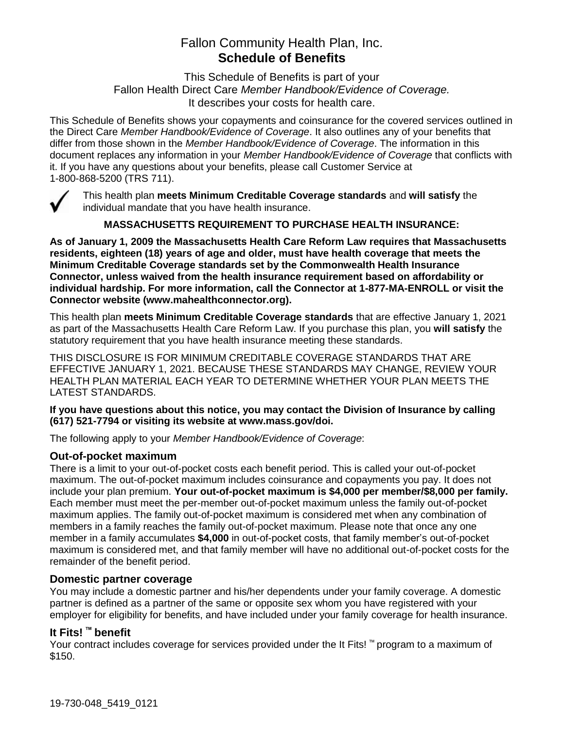# Fallon Community Health Plan, Inc. **Schedule of Benefits**

This Schedule of Benefits is part of your Fallon Health Direct Care *Member Handbook/Evidence of Coverage.*  It describes your costs for health care.

This Schedule of Benefits shows your copayments and coinsurance for the covered services outlined in the Direct Care *Member Handbook/Evidence of Coverage*. It also outlines any of your benefits that differ from those shown in the *Member Handbook/Evidence of Coverage*. The information in this document replaces any information in your *Member Handbook/Evidence of Coverage* that conflicts with it. If you have any questions about your benefits, please call Customer Service at 1-800-868-5200 (TRS 711).



This health plan **meets Minimum Creditable Coverage standards** and **will satisfy** the individual mandate that you have health insurance.

**MASSACHUSETTS REQUIREMENT TO PURCHASE HEALTH INSURANCE:**

**As of January 1, 2009 the Massachusetts Health Care Reform Law requires that Massachusetts residents, eighteen (18) years of age and older, must have health coverage that meets the Minimum Creditable Coverage standards set by the Commonwealth Health Insurance Connector, unless waived from the health insurance requirement based on affordability or individual hardship. For more information, call the Connector at 1-877-MA-ENROLL or visit the Connector website (www.mahealthconnector.org).** 

This health plan **meets Minimum Creditable Coverage standards** that are effective January 1, 2021 as part of the Massachusetts Health Care Reform Law. If you purchase this plan, you **will satisfy** the statutory requirement that you have health insurance meeting these standards.

THIS DISCLOSURE IS FOR MINIMUM CREDITABLE COVERAGE STANDARDS THAT ARE EFFECTIVE JANUARY 1, 2021. BECAUSE THESE STANDARDS MAY CHANGE, REVIEW YOUR HEALTH PLAN MATERIAL EACH YEAR TO DETERMINE WHETHER YOUR PLAN MEETS THE LATEST STANDARDS.

#### **If you have questions about this notice, you may contact the Division of Insurance by calling (617) 521-7794 or visiting its website at www.mass.gov/doi.**

The following apply to your *Member Handbook/Evidence of Coverage*:

#### **Out-of-pocket maximum**

There is a limit to your out-of-pocket costs each benefit period. This is called your out-of-pocket maximum. The out-of-pocket maximum includes coinsurance and copayments you pay. It does not include your plan premium. **Your out-of-pocket maximum is \$4,000 per member/\$8,000 per family.** Each member must meet the per-member out-of-pocket maximum unless the family out-of-pocket maximum applies. The family out-of-pocket maximum is considered met when any combination of members in a family reaches the family out-of-pocket maximum. Please note that once any one member in a family accumulates **\$4,000** in out-of-pocket costs, that family member's out-of-pocket maximum is considered met, and that family member will have no additional out-of-pocket costs for the remainder of the benefit period.

#### **Domestic partner coverage**

You may include a domestic partner and his/her dependents under your family coverage. A domestic partner is defined as a partner of the same or opposite sex whom you have registered with your employer for eligibility for benefits, and have included under your family coverage for health insurance.

# **It Fits! ™ benefit**

Your contract includes coverage for services provided under the It Fits! ™ program to a maximum of \$150.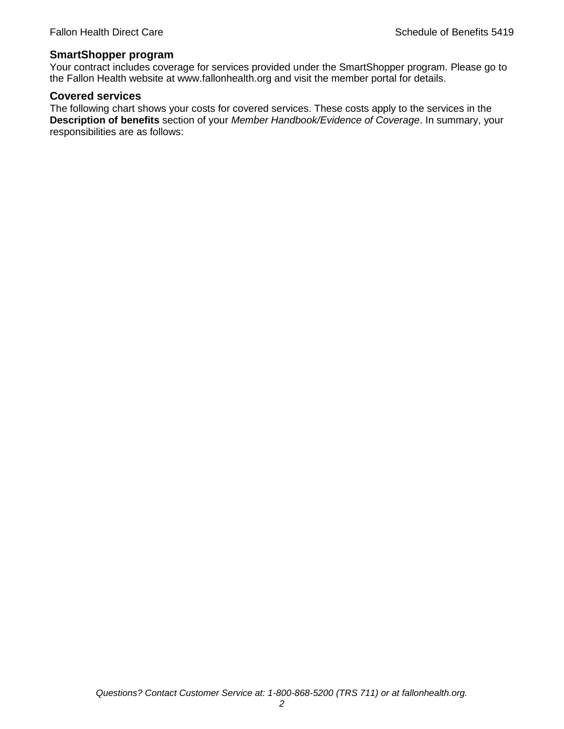#### **SmartShopper program**

Your contract includes coverage for services provided under the SmartShopper program. Please go to the Fallon Health website at www.fallonhealth.org and visit the member portal for details.

#### **Covered services**

The following chart shows your costs for covered services. These costs apply to the services in the **Description of benefits** section of your *Member Handbook/Evidence of Coverage*. In summary, your responsibilities are as follows: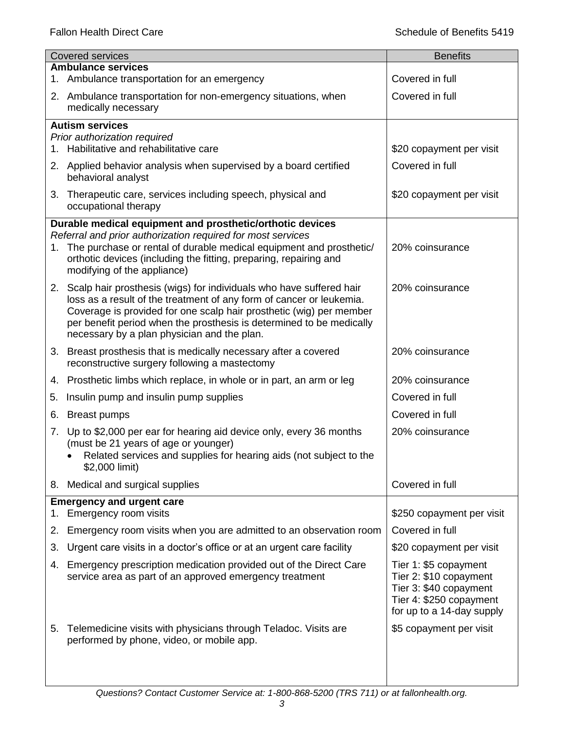|    | <b>Covered services</b>                                                                                                                                                                                                                                                                                                                      | <b>Benefits</b>                                                                                                                   |
|----|----------------------------------------------------------------------------------------------------------------------------------------------------------------------------------------------------------------------------------------------------------------------------------------------------------------------------------------------|-----------------------------------------------------------------------------------------------------------------------------------|
|    | <b>Ambulance services</b><br>1. Ambulance transportation for an emergency                                                                                                                                                                                                                                                                    | Covered in full                                                                                                                   |
|    | 2. Ambulance transportation for non-emergency situations, when<br>medically necessary                                                                                                                                                                                                                                                        | Covered in full                                                                                                                   |
|    | <b>Autism services</b>                                                                                                                                                                                                                                                                                                                       |                                                                                                                                   |
|    | Prior authorization required<br>1. Habilitative and rehabilitative care                                                                                                                                                                                                                                                                      | \$20 copayment per visit                                                                                                          |
|    | 2. Applied behavior analysis when supervised by a board certified<br>behavioral analyst                                                                                                                                                                                                                                                      | Covered in full                                                                                                                   |
|    | 3. Therapeutic care, services including speech, physical and<br>occupational therapy                                                                                                                                                                                                                                                         | \$20 copayment per visit                                                                                                          |
|    | Durable medical equipment and prosthetic/orthotic devices                                                                                                                                                                                                                                                                                    |                                                                                                                                   |
|    | Referral and prior authorization required for most services<br>1. The purchase or rental of durable medical equipment and prosthetic/<br>orthotic devices (including the fitting, preparing, repairing and<br>modifying of the appliance)                                                                                                    | 20% coinsurance                                                                                                                   |
|    | 2. Scalp hair prosthesis (wigs) for individuals who have suffered hair<br>loss as a result of the treatment of any form of cancer or leukemia.<br>Coverage is provided for one scalp hair prosthetic (wig) per member<br>per benefit period when the prosthesis is determined to be medically<br>necessary by a plan physician and the plan. | 20% coinsurance                                                                                                                   |
|    | 3. Breast prosthesis that is medically necessary after a covered<br>reconstructive surgery following a mastectomy                                                                                                                                                                                                                            | 20% coinsurance                                                                                                                   |
|    | 4. Prosthetic limbs which replace, in whole or in part, an arm or leg                                                                                                                                                                                                                                                                        | 20% coinsurance                                                                                                                   |
| 5. | Insulin pump and insulin pump supplies                                                                                                                                                                                                                                                                                                       | Covered in full                                                                                                                   |
| 6. | <b>Breast pumps</b>                                                                                                                                                                                                                                                                                                                          | Covered in full                                                                                                                   |
| 7. | Up to \$2,000 per ear for hearing aid device only, every 36 months<br>(must be 21 years of age or younger)<br>Related services and supplies for hearing aids (not subject to the<br>\$2,000 limit)                                                                                                                                           | 20% coinsurance                                                                                                                   |
| 8. | Medical and surgical supplies                                                                                                                                                                                                                                                                                                                | Covered in full                                                                                                                   |
| 1. | <b>Emergency and urgent care</b><br>Emergency room visits                                                                                                                                                                                                                                                                                    | \$250 copayment per visit                                                                                                         |
| 2. | Emergency room visits when you are admitted to an observation room                                                                                                                                                                                                                                                                           | Covered in full                                                                                                                   |
| 3. | Urgent care visits in a doctor's office or at an urgent care facility                                                                                                                                                                                                                                                                        | \$20 copayment per visit                                                                                                          |
| 4. | Emergency prescription medication provided out of the Direct Care<br>service area as part of an approved emergency treatment                                                                                                                                                                                                                 | Tier 1: \$5 copayment<br>Tier 2: \$10 copayment<br>Tier 3: \$40 copayment<br>Tier 4: \$250 copayment<br>for up to a 14-day supply |
| 5. | Telemedicine visits with physicians through Teladoc. Visits are<br>performed by phone, video, or mobile app.                                                                                                                                                                                                                                 | \$5 copayment per visit                                                                                                           |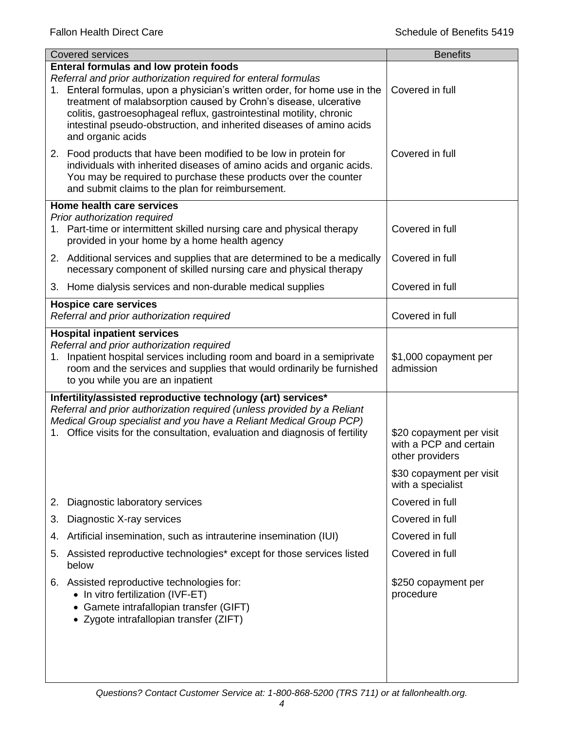| <b>Covered services</b>                                                                                                                                                                                                                                                                                                                                                                                                                | <b>Benefits</b>                                                                                   |
|----------------------------------------------------------------------------------------------------------------------------------------------------------------------------------------------------------------------------------------------------------------------------------------------------------------------------------------------------------------------------------------------------------------------------------------|---------------------------------------------------------------------------------------------------|
| <b>Enteral formulas and low protein foods</b><br>Referral and prior authorization required for enteral formulas<br>1. Enteral formulas, upon a physician's written order, for home use in the<br>treatment of malabsorption caused by Crohn's disease, ulcerative<br>colitis, gastroesophageal reflux, gastrointestinal motility, chronic<br>intestinal pseudo-obstruction, and inherited diseases of amino acids<br>and organic acids | Covered in full                                                                                   |
| 2. Food products that have been modified to be low in protein for<br>individuals with inherited diseases of amino acids and organic acids.<br>You may be required to purchase these products over the counter<br>and submit claims to the plan for reimbursement.                                                                                                                                                                      | Covered in full                                                                                   |
| Home health care services                                                                                                                                                                                                                                                                                                                                                                                                              |                                                                                                   |
| Prior authorization required<br>1. Part-time or intermittent skilled nursing care and physical therapy<br>provided in your home by a home health agency                                                                                                                                                                                                                                                                                | Covered in full                                                                                   |
| 2. Additional services and supplies that are determined to be a medically<br>necessary component of skilled nursing care and physical therapy                                                                                                                                                                                                                                                                                          | Covered in full                                                                                   |
| 3. Home dialysis services and non-durable medical supplies                                                                                                                                                                                                                                                                                                                                                                             | Covered in full                                                                                   |
| <b>Hospice care services</b><br>Referral and prior authorization required                                                                                                                                                                                                                                                                                                                                                              | Covered in full                                                                                   |
| <b>Hospital inpatient services</b>                                                                                                                                                                                                                                                                                                                                                                                                     |                                                                                                   |
| Referral and prior authorization required<br>1. Inpatient hospital services including room and board in a semiprivate<br>room and the services and supplies that would ordinarily be furnished<br>to you while you are an inpatient                                                                                                                                                                                                    | \$1,000 copayment per<br>admission                                                                |
| Infertility/assisted reproductive technology (art) services*<br>Referral and prior authorization required (unless provided by a Reliant<br>Medical Group specialist and you have a Reliant Medical Group PCP)<br>Office visits for the consultation, evaluation and diagnosis of fertility                                                                                                                                             | \$20 copayment per visit<br>with a PCP and certain<br>other providers<br>\$30 copayment per visit |
|                                                                                                                                                                                                                                                                                                                                                                                                                                        | with a specialist                                                                                 |
| Diagnostic laboratory services<br>2.                                                                                                                                                                                                                                                                                                                                                                                                   | Covered in full                                                                                   |
| Diagnostic X-ray services<br>3.                                                                                                                                                                                                                                                                                                                                                                                                        | Covered in full                                                                                   |
| Artificial insemination, such as intrauterine insemination (IUI)<br>4.                                                                                                                                                                                                                                                                                                                                                                 | Covered in full                                                                                   |
| Assisted reproductive technologies* except for those services listed<br>5.<br>below                                                                                                                                                                                                                                                                                                                                                    | Covered in full                                                                                   |
| Assisted reproductive technologies for:<br>6.<br>• In vitro fertilization (IVF-ET)<br>Gamete intrafallopian transfer (GIFT)<br>• Zygote intrafallopian transfer (ZIFT)                                                                                                                                                                                                                                                                 | \$250 copayment per<br>procedure                                                                  |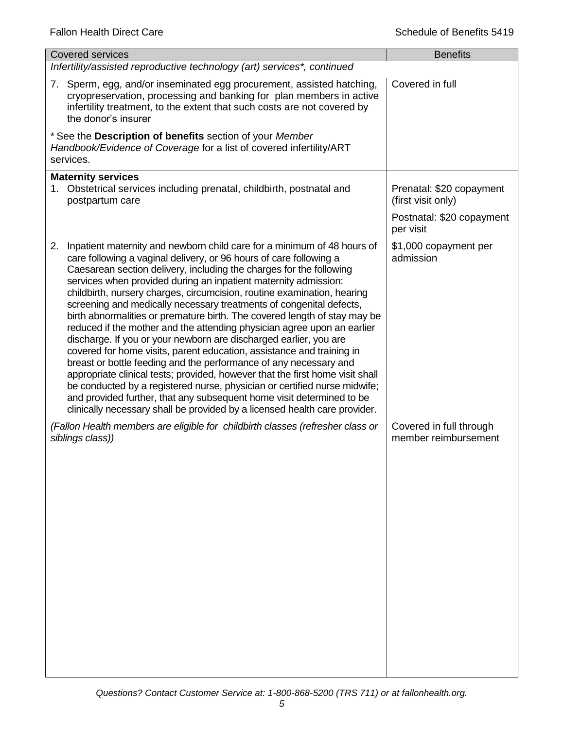| <b>Covered services</b>                                                                                                                                                                                                                                                                                                                                                                                                                                                                                                                                                                                                                                                                                                                                                                                                                                                                                                                                                                                                                                                                                                                         | <b>Benefits</b>                                 |
|-------------------------------------------------------------------------------------------------------------------------------------------------------------------------------------------------------------------------------------------------------------------------------------------------------------------------------------------------------------------------------------------------------------------------------------------------------------------------------------------------------------------------------------------------------------------------------------------------------------------------------------------------------------------------------------------------------------------------------------------------------------------------------------------------------------------------------------------------------------------------------------------------------------------------------------------------------------------------------------------------------------------------------------------------------------------------------------------------------------------------------------------------|-------------------------------------------------|
| Infertility/assisted reproductive technology (art) services*, continued                                                                                                                                                                                                                                                                                                                                                                                                                                                                                                                                                                                                                                                                                                                                                                                                                                                                                                                                                                                                                                                                         |                                                 |
| 7. Sperm, egg, and/or inseminated egg procurement, assisted hatching,<br>cryopreservation, processing and banking for plan members in active<br>infertility treatment, to the extent that such costs are not covered by<br>the donor's insurer                                                                                                                                                                                                                                                                                                                                                                                                                                                                                                                                                                                                                                                                                                                                                                                                                                                                                                  | Covered in full                                 |
| * See the Description of benefits section of your Member<br>Handbook/Evidence of Coverage for a list of covered infertility/ART<br>services.                                                                                                                                                                                                                                                                                                                                                                                                                                                                                                                                                                                                                                                                                                                                                                                                                                                                                                                                                                                                    |                                                 |
| <b>Maternity services</b><br>1. Obstetrical services including prenatal, childbirth, postnatal and<br>postpartum care                                                                                                                                                                                                                                                                                                                                                                                                                                                                                                                                                                                                                                                                                                                                                                                                                                                                                                                                                                                                                           | Prenatal: \$20 copayment<br>(first visit only)  |
|                                                                                                                                                                                                                                                                                                                                                                                                                                                                                                                                                                                                                                                                                                                                                                                                                                                                                                                                                                                                                                                                                                                                                 | Postnatal: \$20 copayment<br>per visit          |
| Inpatient maternity and newborn child care for a minimum of 48 hours of<br>2.<br>care following a vaginal delivery, or 96 hours of care following a<br>Caesarean section delivery, including the charges for the following<br>services when provided during an inpatient maternity admission:<br>childbirth, nursery charges, circumcision, routine examination, hearing<br>screening and medically necessary treatments of congenital defects,<br>birth abnormalities or premature birth. The covered length of stay may be<br>reduced if the mother and the attending physician agree upon an earlier<br>discharge. If you or your newborn are discharged earlier, you are<br>covered for home visits, parent education, assistance and training in<br>breast or bottle feeding and the performance of any necessary and<br>appropriate clinical tests; provided, however that the first home visit shall<br>be conducted by a registered nurse, physician or certified nurse midwife;<br>and provided further, that any subsequent home visit determined to be<br>clinically necessary shall be provided by a licensed health care provider. | \$1,000 copayment per<br>admission              |
| (Fallon Health members are eligible for childbirth classes (refresher class or<br>siblings class))                                                                                                                                                                                                                                                                                                                                                                                                                                                                                                                                                                                                                                                                                                                                                                                                                                                                                                                                                                                                                                              | Covered in full through<br>member reimbursement |
|                                                                                                                                                                                                                                                                                                                                                                                                                                                                                                                                                                                                                                                                                                                                                                                                                                                                                                                                                                                                                                                                                                                                                 |                                                 |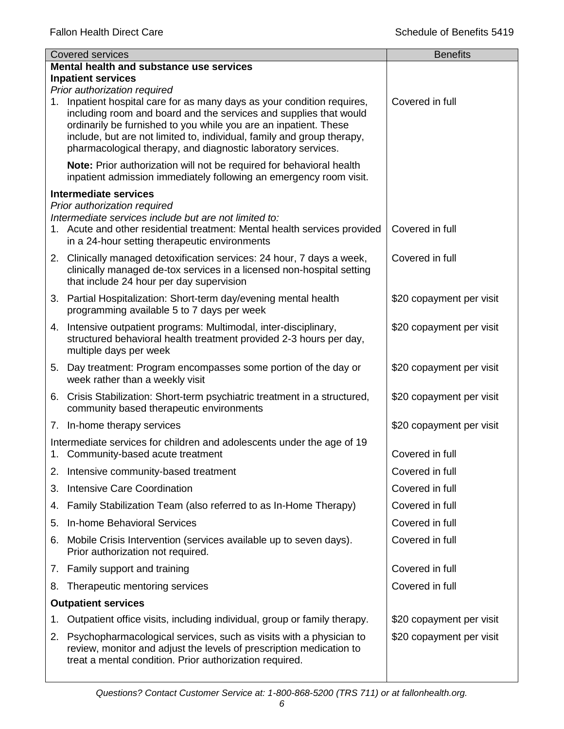|    | <b>Covered services</b>                                                                                                                                                                                                                                                                                                                                                                    | <b>Benefits</b>          |
|----|--------------------------------------------------------------------------------------------------------------------------------------------------------------------------------------------------------------------------------------------------------------------------------------------------------------------------------------------------------------------------------------------|--------------------------|
|    | Mental health and substance use services                                                                                                                                                                                                                                                                                                                                                   |                          |
|    | <b>Inpatient services</b>                                                                                                                                                                                                                                                                                                                                                                  |                          |
|    | Prior authorization required<br>1. Inpatient hospital care for as many days as your condition requires,<br>including room and board and the services and supplies that would<br>ordinarily be furnished to you while you are an inpatient. These<br>include, but are not limited to, individual, family and group therapy,<br>pharmacological therapy, and diagnostic laboratory services. | Covered in full          |
|    | Note: Prior authorization will not be required for behavioral health<br>inpatient admission immediately following an emergency room visit.                                                                                                                                                                                                                                                 |                          |
|    | <b>Intermediate services</b><br>Prior authorization required                                                                                                                                                                                                                                                                                                                               |                          |
|    | Intermediate services include but are not limited to:<br>1. Acute and other residential treatment: Mental health services provided<br>in a 24-hour setting therapeutic environments                                                                                                                                                                                                        | Covered in full          |
|    | 2. Clinically managed detoxification services: 24 hour, 7 days a week,<br>clinically managed de-tox services in a licensed non-hospital setting<br>that include 24 hour per day supervision                                                                                                                                                                                                | Covered in full          |
|    | 3. Partial Hospitalization: Short-term day/evening mental health<br>programming available 5 to 7 days per week                                                                                                                                                                                                                                                                             | \$20 copayment per visit |
|    | 4. Intensive outpatient programs: Multimodal, inter-disciplinary,<br>structured behavioral health treatment provided 2-3 hours per day,<br>multiple days per week                                                                                                                                                                                                                          | \$20 copayment per visit |
|    | 5. Day treatment: Program encompasses some portion of the day or<br>week rather than a weekly visit                                                                                                                                                                                                                                                                                        | \$20 copayment per visit |
|    | 6. Crisis Stabilization: Short-term psychiatric treatment in a structured,<br>community based therapeutic environments                                                                                                                                                                                                                                                                     | \$20 copayment per visit |
|    | 7. In-home therapy services                                                                                                                                                                                                                                                                                                                                                                | \$20 copayment per visit |
|    | Intermediate services for children and adolescents under the age of 19<br>1. Community-based acute treatment                                                                                                                                                                                                                                                                               | Covered in full          |
| 2. | Intensive community-based treatment                                                                                                                                                                                                                                                                                                                                                        | Covered in full          |
| 3. | <b>Intensive Care Coordination</b>                                                                                                                                                                                                                                                                                                                                                         | Covered in full          |
| 4. | Family Stabilization Team (also referred to as In-Home Therapy)                                                                                                                                                                                                                                                                                                                            | Covered in full          |
| 5. | <b>In-home Behavioral Services</b>                                                                                                                                                                                                                                                                                                                                                         | Covered in full          |
| 6. | Mobile Crisis Intervention (services available up to seven days).<br>Prior authorization not required.                                                                                                                                                                                                                                                                                     | Covered in full          |
|    | 7. Family support and training                                                                                                                                                                                                                                                                                                                                                             | Covered in full          |
| 8. | Therapeutic mentoring services                                                                                                                                                                                                                                                                                                                                                             | Covered in full          |
|    | <b>Outpatient services</b>                                                                                                                                                                                                                                                                                                                                                                 |                          |
| 1. | Outpatient office visits, including individual, group or family therapy.                                                                                                                                                                                                                                                                                                                   | \$20 copayment per visit |
| 2. | Psychopharmacological services, such as visits with a physician to<br>review, monitor and adjust the levels of prescription medication to<br>treat a mental condition. Prior authorization required.                                                                                                                                                                                       | \$20 copayment per visit |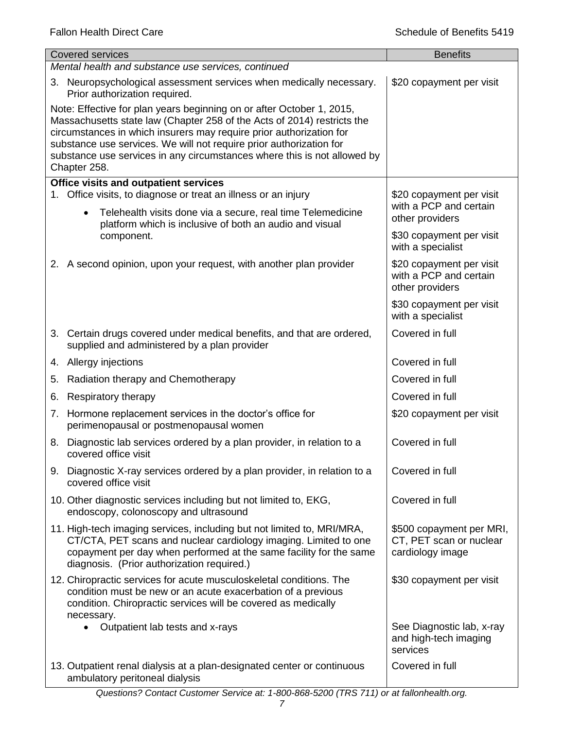| <b>Covered services</b>                                                                                                                                                                                                                                                                                                                                                                    | <b>Benefits</b>                                                         |
|--------------------------------------------------------------------------------------------------------------------------------------------------------------------------------------------------------------------------------------------------------------------------------------------------------------------------------------------------------------------------------------------|-------------------------------------------------------------------------|
| Mental health and substance use services, continued                                                                                                                                                                                                                                                                                                                                        |                                                                         |
| 3. Neuropsychological assessment services when medically necessary.<br>Prior authorization required.                                                                                                                                                                                                                                                                                       | \$20 copayment per visit                                                |
| Note: Effective for plan years beginning on or after October 1, 2015,<br>Massachusetts state law (Chapter 258 of the Acts of 2014) restricts the<br>circumstances in which insurers may require prior authorization for<br>substance use services. We will not require prior authorization for<br>substance use services in any circumstances where this is not allowed by<br>Chapter 258. |                                                                         |
| <b>Office visits and outpatient services</b><br>1. Office visits, to diagnose or treat an illness or an injury                                                                                                                                                                                                                                                                             |                                                                         |
| Telehealth visits done via a secure, real time Telemedicine<br>$\bullet$<br>platform which is inclusive of both an audio and visual                                                                                                                                                                                                                                                        | \$20 copayment per visit<br>with a PCP and certain<br>other providers   |
| component.                                                                                                                                                                                                                                                                                                                                                                                 | \$30 copayment per visit<br>with a specialist                           |
| 2. A second opinion, upon your request, with another plan provider                                                                                                                                                                                                                                                                                                                         | \$20 copayment per visit<br>with a PCP and certain<br>other providers   |
|                                                                                                                                                                                                                                                                                                                                                                                            | \$30 copayment per visit<br>with a specialist                           |
| 3. Certain drugs covered under medical benefits, and that are ordered,<br>supplied and administered by a plan provider                                                                                                                                                                                                                                                                     | Covered in full                                                         |
| 4. Allergy injections                                                                                                                                                                                                                                                                                                                                                                      | Covered in full                                                         |
| Radiation therapy and Chemotherapy<br>5.                                                                                                                                                                                                                                                                                                                                                   | Covered in full                                                         |
| Respiratory therapy<br>6.                                                                                                                                                                                                                                                                                                                                                                  | Covered in full                                                         |
| Hormone replacement services in the doctor's office for<br>7.<br>perimenopausal or postmenopausal women                                                                                                                                                                                                                                                                                    | \$20 copayment per visit                                                |
| 8. Diagnostic lab services ordered by a plan provider, in relation to a<br>covered office visit                                                                                                                                                                                                                                                                                            | Covered in full                                                         |
| 9. Diagnostic X-ray services ordered by a plan provider, in relation to a<br>covered office visit                                                                                                                                                                                                                                                                                          | Covered in full                                                         |
| 10. Other diagnostic services including but not limited to, EKG,<br>endoscopy, colonoscopy and ultrasound                                                                                                                                                                                                                                                                                  | Covered in full                                                         |
| 11. High-tech imaging services, including but not limited to, MRI/MRA,<br>CT/CTA, PET scans and nuclear cardiology imaging. Limited to one<br>copayment per day when performed at the same facility for the same<br>diagnosis. (Prior authorization required.)                                                                                                                             | \$500 copayment per MRI,<br>CT, PET scan or nuclear<br>cardiology image |
| 12. Chiropractic services for acute musculoskeletal conditions. The<br>condition must be new or an acute exacerbation of a previous<br>condition. Chiropractic services will be covered as medically<br>necessary.                                                                                                                                                                         | \$30 copayment per visit                                                |
| Outpatient lab tests and x-rays<br>٠                                                                                                                                                                                                                                                                                                                                                       | See Diagnostic lab, x-ray<br>and high-tech imaging<br>services          |
| 13. Outpatient renal dialysis at a plan-designated center or continuous<br>ambulatory peritoneal dialysis                                                                                                                                                                                                                                                                                  | Covered in full                                                         |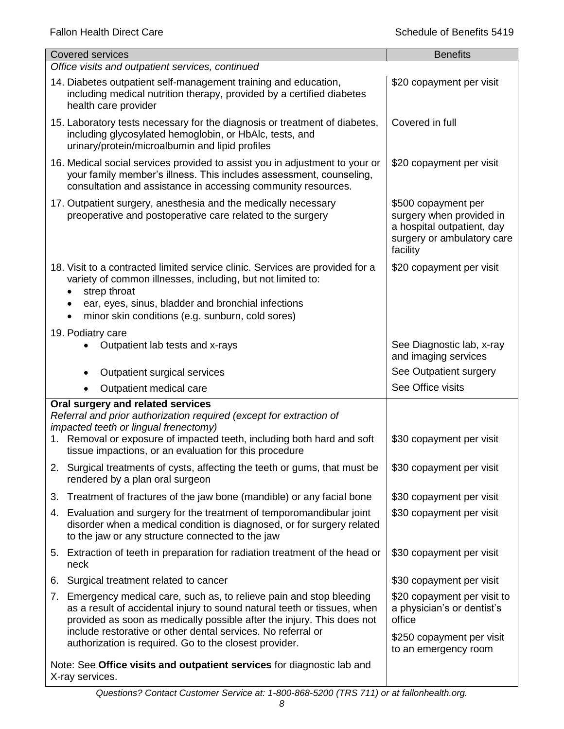|    | <b>Covered services</b>                                                                                                                                                                                                                                                                                                                            | <b>Benefits</b>                                                                                                         |
|----|----------------------------------------------------------------------------------------------------------------------------------------------------------------------------------------------------------------------------------------------------------------------------------------------------------------------------------------------------|-------------------------------------------------------------------------------------------------------------------------|
|    | Office visits and outpatient services, continued                                                                                                                                                                                                                                                                                                   |                                                                                                                         |
|    | 14. Diabetes outpatient self-management training and education,<br>including medical nutrition therapy, provided by a certified diabetes<br>health care provider                                                                                                                                                                                   | \$20 copayment per visit                                                                                                |
|    | 15. Laboratory tests necessary for the diagnosis or treatment of diabetes,<br>including glycosylated hemoglobin, or HbAlc, tests, and<br>urinary/protein/microalbumin and lipid profiles                                                                                                                                                           | Covered in full                                                                                                         |
|    | 16. Medical social services provided to assist you in adjustment to your or<br>your family member's illness. This includes assessment, counseling,<br>consultation and assistance in accessing community resources.                                                                                                                                | \$20 copayment per visit                                                                                                |
|    | 17. Outpatient surgery, anesthesia and the medically necessary<br>preoperative and postoperative care related to the surgery                                                                                                                                                                                                                       | \$500 copayment per<br>surgery when provided in<br>a hospital outpatient, day<br>surgery or ambulatory care<br>facility |
|    | 18. Visit to a contracted limited service clinic. Services are provided for a<br>variety of common illnesses, including, but not limited to:<br>strep throat                                                                                                                                                                                       | \$20 copayment per visit                                                                                                |
|    | ear, eyes, sinus, bladder and bronchial infections<br>minor skin conditions (e.g. sunburn, cold sores)                                                                                                                                                                                                                                             |                                                                                                                         |
|    | 19. Podiatry care                                                                                                                                                                                                                                                                                                                                  |                                                                                                                         |
|    | Outpatient lab tests and x-rays                                                                                                                                                                                                                                                                                                                    | See Diagnostic lab, x-ray<br>and imaging services                                                                       |
|    | Outpatient surgical services                                                                                                                                                                                                                                                                                                                       | See Outpatient surgery                                                                                                  |
|    | Outpatient medical care                                                                                                                                                                                                                                                                                                                            | See Office visits                                                                                                       |
|    | Oral surgery and related services<br>Referral and prior authorization required (except for extraction of<br>impacted teeth or lingual frenectomy)<br>1. Removal or exposure of impacted teeth, including both hard and soft<br>tissue impactions, or an evaluation for this procedure                                                              | \$30 copayment per visit                                                                                                |
|    | 2. Surgical treatments of cysts, affecting the teeth or gums, that must be<br>rendered by a plan oral surgeon                                                                                                                                                                                                                                      | \$30 copayment per visit                                                                                                |
|    | 3. Treatment of fractures of the jaw bone (mandible) or any facial bone                                                                                                                                                                                                                                                                            | \$30 copayment per visit                                                                                                |
|    | 4. Evaluation and surgery for the treatment of temporomandibular joint<br>disorder when a medical condition is diagnosed, or for surgery related<br>to the jaw or any structure connected to the jaw                                                                                                                                               | \$30 copayment per visit                                                                                                |
|    | 5. Extraction of teeth in preparation for radiation treatment of the head or<br>neck                                                                                                                                                                                                                                                               | \$30 copayment per visit                                                                                                |
| 6. | Surgical treatment related to cancer                                                                                                                                                                                                                                                                                                               | \$30 copayment per visit                                                                                                |
| 7. | Emergency medical care, such as, to relieve pain and stop bleeding<br>as a result of accidental injury to sound natural teeth or tissues, when<br>provided as soon as medically possible after the injury. This does not<br>include restorative or other dental services. No referral or<br>authorization is required. Go to the closest provider. | \$20 copayment per visit to<br>a physician's or dentist's<br>office<br>\$250 copayment per visit                        |
|    |                                                                                                                                                                                                                                                                                                                                                    | to an emergency room                                                                                                    |
|    | Note: See Office visits and outpatient services for diagnostic lab and<br>X-ray services.                                                                                                                                                                                                                                                          |                                                                                                                         |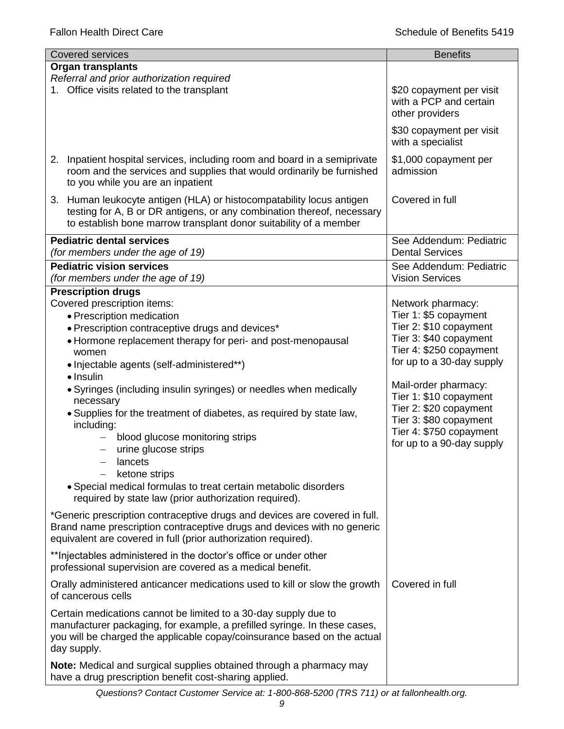| <b>Covered services</b>                                                                                                                                                                                                                                                                                                                                                                                                                                                                                                                                                                                                                                                      | <b>Benefits</b>                                                                                                                                                                                                                                                                                                      |  |  |
|------------------------------------------------------------------------------------------------------------------------------------------------------------------------------------------------------------------------------------------------------------------------------------------------------------------------------------------------------------------------------------------------------------------------------------------------------------------------------------------------------------------------------------------------------------------------------------------------------------------------------------------------------------------------------|----------------------------------------------------------------------------------------------------------------------------------------------------------------------------------------------------------------------------------------------------------------------------------------------------------------------|--|--|
| <b>Organ transplants</b>                                                                                                                                                                                                                                                                                                                                                                                                                                                                                                                                                                                                                                                     |                                                                                                                                                                                                                                                                                                                      |  |  |
| Referral and prior authorization required<br>1. Office visits related to the transplant                                                                                                                                                                                                                                                                                                                                                                                                                                                                                                                                                                                      | \$20 copayment per visit<br>with a PCP and certain<br>other providers                                                                                                                                                                                                                                                |  |  |
|                                                                                                                                                                                                                                                                                                                                                                                                                                                                                                                                                                                                                                                                              | \$30 copayment per visit<br>with a specialist                                                                                                                                                                                                                                                                        |  |  |
| 2. Inpatient hospital services, including room and board in a semiprivate<br>room and the services and supplies that would ordinarily be furnished<br>to you while you are an inpatient                                                                                                                                                                                                                                                                                                                                                                                                                                                                                      | \$1,000 copayment per<br>admission                                                                                                                                                                                                                                                                                   |  |  |
| 3. Human leukocyte antigen (HLA) or histocompatability locus antigen<br>testing for A, B or DR antigens, or any combination thereof, necessary<br>to establish bone marrow transplant donor suitability of a member                                                                                                                                                                                                                                                                                                                                                                                                                                                          | Covered in full                                                                                                                                                                                                                                                                                                      |  |  |
| <b>Pediatric dental services</b><br>(for members under the age of 19)                                                                                                                                                                                                                                                                                                                                                                                                                                                                                                                                                                                                        | See Addendum: Pediatric<br><b>Dental Services</b>                                                                                                                                                                                                                                                                    |  |  |
| <b>Pediatric vision services</b><br>(for members under the age of 19)                                                                                                                                                                                                                                                                                                                                                                                                                                                                                                                                                                                                        | See Addendum: Pediatric<br><b>Vision Services</b>                                                                                                                                                                                                                                                                    |  |  |
| <b>Prescription drugs</b><br>Covered prescription items:<br>• Prescription medication<br>• Prescription contraceptive drugs and devices*<br>• Hormone replacement therapy for peri- and post-menopausal<br>women<br>• Injectable agents (self-administered**)<br>$\bullet$ Insulin<br>• Syringes (including insulin syringes) or needles when medically<br>necessary<br>. Supplies for the treatment of diabetes, as required by state law,<br>including:<br>blood glucose monitoring strips<br>urine glucose strips<br>lancets<br>ketone strips<br>• Special medical formulas to treat certain metabolic disorders<br>required by state law (prior authorization required). | Network pharmacy:<br>Tier 1: \$5 copayment<br>Tier 2: \$10 copayment<br>Tier 3: \$40 copayment<br>Tier 4: \$250 copayment<br>for up to a 30-day supply<br>Mail-order pharmacy:<br>Tier 1: \$10 copayment<br>Tier 2: \$20 copayment<br>Tier 3: \$80 copayment<br>Tier 4: \$750 copayment<br>for up to a 90-day supply |  |  |
| *Generic prescription contraceptive drugs and devices are covered in full.<br>Brand name prescription contraceptive drugs and devices with no generic<br>equivalent are covered in full (prior authorization required).<br>** Injectables administered in the doctor's office or under other                                                                                                                                                                                                                                                                                                                                                                                 |                                                                                                                                                                                                                                                                                                                      |  |  |
| professional supervision are covered as a medical benefit.<br>Orally administered anticancer medications used to kill or slow the growth                                                                                                                                                                                                                                                                                                                                                                                                                                                                                                                                     | Covered in full                                                                                                                                                                                                                                                                                                      |  |  |
| of cancerous cells<br>Certain medications cannot be limited to a 30-day supply due to<br>manufacturer packaging, for example, a prefilled syringe. In these cases,<br>you will be charged the applicable copay/coinsurance based on the actual<br>day supply.                                                                                                                                                                                                                                                                                                                                                                                                                |                                                                                                                                                                                                                                                                                                                      |  |  |
| Note: Medical and surgical supplies obtained through a pharmacy may<br>have a drug prescription benefit cost-sharing applied.                                                                                                                                                                                                                                                                                                                                                                                                                                                                                                                                                |                                                                                                                                                                                                                                                                                                                      |  |  |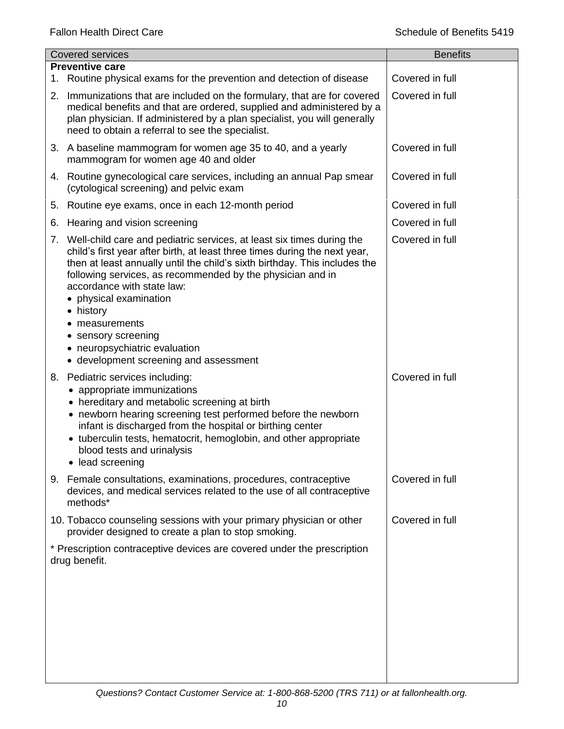|    | <b>Covered services</b>                                                                                                                                                                                                                                                                                                                                                                                                                                                                        | <b>Benefits</b> |
|----|------------------------------------------------------------------------------------------------------------------------------------------------------------------------------------------------------------------------------------------------------------------------------------------------------------------------------------------------------------------------------------------------------------------------------------------------------------------------------------------------|-----------------|
|    | <b>Preventive care</b>                                                                                                                                                                                                                                                                                                                                                                                                                                                                         |                 |
| 1. | Routine physical exams for the prevention and detection of disease                                                                                                                                                                                                                                                                                                                                                                                                                             | Covered in full |
| 2. | Immunizations that are included on the formulary, that are for covered<br>medical benefits and that are ordered, supplied and administered by a<br>plan physician. If administered by a plan specialist, you will generally<br>need to obtain a referral to see the specialist.                                                                                                                                                                                                                | Covered in full |
|    | 3. A baseline mammogram for women age 35 to 40, and a yearly<br>mammogram for women age 40 and older                                                                                                                                                                                                                                                                                                                                                                                           | Covered in full |
|    | 4. Routine gynecological care services, including an annual Pap smear<br>(cytological screening) and pelvic exam                                                                                                                                                                                                                                                                                                                                                                               | Covered in full |
| 5. | Routine eye exams, once in each 12-month period                                                                                                                                                                                                                                                                                                                                                                                                                                                | Covered in full |
| 6. | Hearing and vision screening                                                                                                                                                                                                                                                                                                                                                                                                                                                                   | Covered in full |
|    | 7. Well-child care and pediatric services, at least six times during the<br>child's first year after birth, at least three times during the next year,<br>then at least annually until the child's sixth birthday. This includes the<br>following services, as recommended by the physician and in<br>accordance with state law:<br>physical examination<br>history<br>$\bullet$<br>measurements<br>sensory screening<br>neuropsychiatric evaluation<br>• development screening and assessment | Covered in full |
|    | 8. Pediatric services including:<br>• appropriate immunizations<br>• hereditary and metabolic screening at birth<br>• newborn hearing screening test performed before the newborn<br>infant is discharged from the hospital or birthing center<br>• tuberculin tests, hematocrit, hemoglobin, and other appropriate<br>blood tests and urinalysis<br>• lead screening                                                                                                                          | Covered in full |
|    | 9. Female consultations, examinations, procedures, contraceptive<br>devices, and medical services related to the use of all contraceptive<br>methods*                                                                                                                                                                                                                                                                                                                                          | Covered in full |
|    | 10. Tobacco counseling sessions with your primary physician or other<br>provider designed to create a plan to stop smoking.                                                                                                                                                                                                                                                                                                                                                                    | Covered in full |
|    | * Prescription contraceptive devices are covered under the prescription<br>drug benefit.                                                                                                                                                                                                                                                                                                                                                                                                       |                 |
|    |                                                                                                                                                                                                                                                                                                                                                                                                                                                                                                |                 |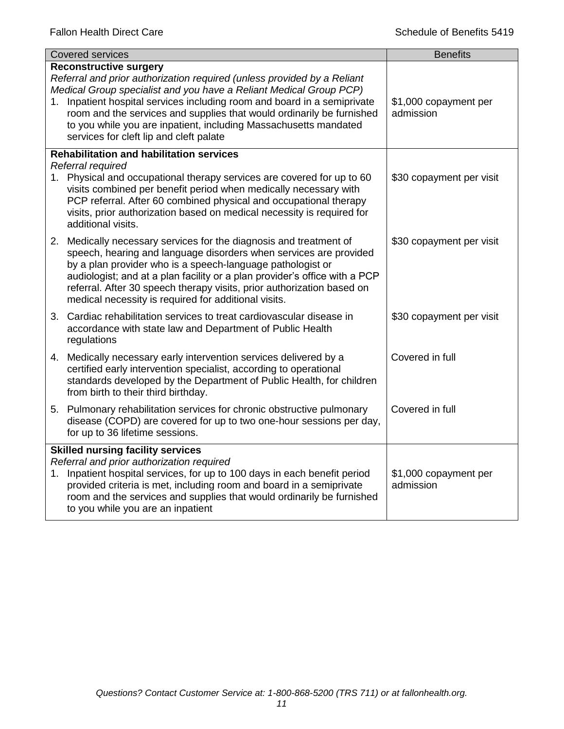| <b>Covered services</b>                                                                                                                                                                                                                                                                                                                                                                                                                            | <b>Benefits</b>                    |  |
|----------------------------------------------------------------------------------------------------------------------------------------------------------------------------------------------------------------------------------------------------------------------------------------------------------------------------------------------------------------------------------------------------------------------------------------------------|------------------------------------|--|
| <b>Reconstructive surgery</b><br>Referral and prior authorization required (unless provided by a Reliant<br>Medical Group specialist and you have a Reliant Medical Group PCP)<br>1. Inpatient hospital services including room and board in a semiprivate<br>room and the services and supplies that would ordinarily be furnished<br>to you while you are inpatient, including Massachusetts mandated<br>services for cleft lip and cleft palate | \$1,000 copayment per<br>admission |  |
| <b>Rehabilitation and habilitation services</b>                                                                                                                                                                                                                                                                                                                                                                                                    |                                    |  |
| Referral required<br>1. Physical and occupational therapy services are covered for up to 60<br>visits combined per benefit period when medically necessary with<br>PCP referral. After 60 combined physical and occupational therapy<br>visits, prior authorization based on medical necessity is required for<br>additional visits.                                                                                                               | \$30 copayment per visit           |  |
| 2. Medically necessary services for the diagnosis and treatment of<br>speech, hearing and language disorders when services are provided<br>by a plan provider who is a speech-language pathologist or<br>audiologist; and at a plan facility or a plan provider's office with a PCP<br>referral. After 30 speech therapy visits, prior authorization based on<br>medical necessity is required for additional visits.                              | \$30 copayment per visit           |  |
| 3. Cardiac rehabilitation services to treat cardiovascular disease in<br>accordance with state law and Department of Public Health<br>regulations                                                                                                                                                                                                                                                                                                  | \$30 copayment per visit           |  |
| 4. Medically necessary early intervention services delivered by a<br>certified early intervention specialist, according to operational<br>standards developed by the Department of Public Health, for children<br>from birth to their third birthday.                                                                                                                                                                                              | Covered in full                    |  |
| 5. Pulmonary rehabilitation services for chronic obstructive pulmonary<br>disease (COPD) are covered for up to two one-hour sessions per day,<br>for up to 36 lifetime sessions.                                                                                                                                                                                                                                                                   | Covered in full                    |  |
| <b>Skilled nursing facility services</b>                                                                                                                                                                                                                                                                                                                                                                                                           |                                    |  |
| Referral and prior authorization required<br>1. Inpatient hospital services, for up to 100 days in each benefit period<br>provided criteria is met, including room and board in a semiprivate<br>room and the services and supplies that would ordinarily be furnished<br>to you while you are an inpatient                                                                                                                                        | \$1,000 copayment per<br>admission |  |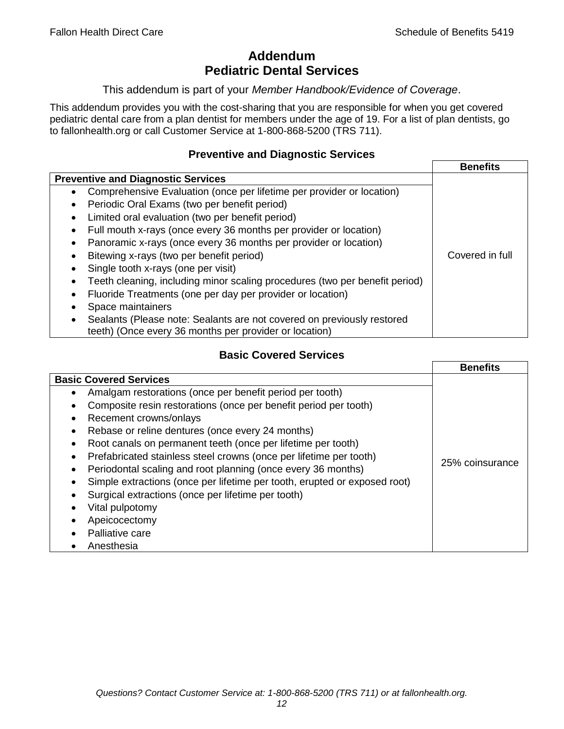# **Addendum Pediatric Dental Services**

#### This addendum is part of your *Member Handbook/Evidence of Coverage*.

This addendum provides you with the cost-sharing that you are responsible for when you get covered pediatric dental care from a plan dentist for members under the age of 19. For a list of plan dentists, go to fallonhealth.org or call Customer Service at 1-800-868-5200 (TRS 711).

### **Preventive and Diagnostic Services**

|                                                                                    | <b>Benefits</b> |
|------------------------------------------------------------------------------------|-----------------|
| <b>Preventive and Diagnostic Services</b>                                          |                 |
| Comprehensive Evaluation (once per lifetime per provider or location)<br>$\bullet$ |                 |
| Periodic Oral Exams (two per benefit period)<br>٠                                  |                 |
| Limited oral evaluation (two per benefit period)<br>٠                              |                 |
| Full mouth x-rays (once every 36 months per provider or location)<br>٠             |                 |
| Panoramic x-rays (once every 36 months per provider or location)<br>٠              |                 |
| Bitewing x-rays (two per benefit period)                                           | Covered in full |
| Single tooth x-rays (one per visit)                                                |                 |
| Teeth cleaning, including minor scaling procedures (two per benefit period)        |                 |
| Fluoride Treatments (one per day per provider or location)                         |                 |
| Space maintainers                                                                  |                 |
| Sealants (Please note: Sealants are not covered on previously restored             |                 |
| teeth) (Once every 36 months per provider or location)                             |                 |

# **Basic Covered Services**

|                                                                           | <b>Benefits</b> |
|---------------------------------------------------------------------------|-----------------|
| <b>Basic Covered Services</b>                                             |                 |
| Amalgam restorations (once per benefit period per tooth)<br>$\bullet$     |                 |
| Composite resin restorations (once per benefit period per tooth)          |                 |
| Recement crowns/onlays<br>$\bullet$                                       |                 |
| Rebase or reline dentures (once every 24 months)                          |                 |
| Root canals on permanent teeth (once per lifetime per tooth)<br>$\bullet$ |                 |
| Prefabricated stainless steel crowns (once per lifetime per tooth)        |                 |
| Periodontal scaling and root planning (once every 36 months)<br>$\bullet$ | 25% coinsurance |
| Simple extractions (once per lifetime per tooth, erupted or exposed root) |                 |
| Surgical extractions (once per lifetime per tooth)                        |                 |
| Vital pulpotomy                                                           |                 |
| Apeicocectomy                                                             |                 |
| Palliative care                                                           |                 |
| Anesthesia                                                                |                 |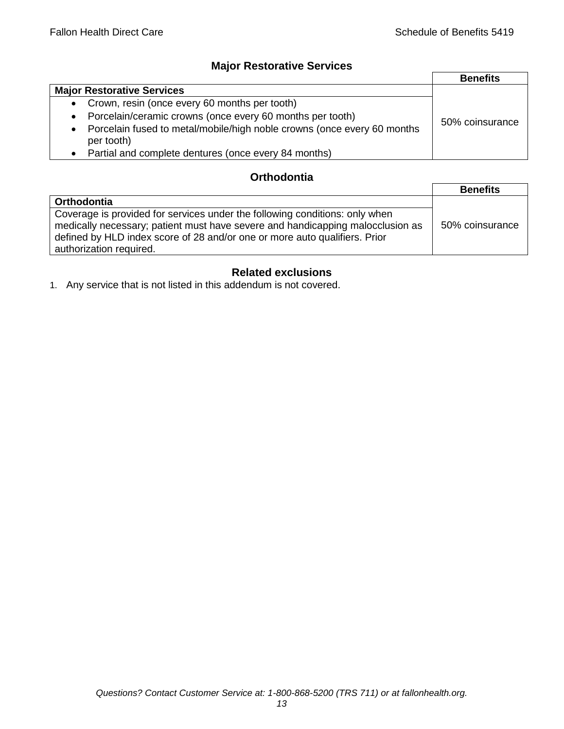## **Major Restorative Services**

|                                                                                                    | <b>Benefits</b> |
|----------------------------------------------------------------------------------------------------|-----------------|
| <b>Major Restorative Services</b>                                                                  |                 |
| Crown, resin (once every 60 months per tooth)<br>$\bullet$                                         |                 |
| Porcelain/ceramic crowns (once every 60 months per tooth)<br>$\bullet$                             | 50% coinsurance |
| Porcelain fused to metal/mobile/high noble crowns (once every 60 months<br>$\bullet$<br>per tooth) |                 |
| Partial and complete dentures (once every 84 months)                                               |                 |

## **Orthodontia**

|                                                                                                                                                                                                                                                                        | <b>Benefits</b> |
|------------------------------------------------------------------------------------------------------------------------------------------------------------------------------------------------------------------------------------------------------------------------|-----------------|
| Orthodontia                                                                                                                                                                                                                                                            |                 |
| Coverage is provided for services under the following conditions: only when<br>medically necessary; patient must have severe and handicapping malocclusion as<br>defined by HLD index score of 28 and/or one or more auto qualifiers. Prior<br>authorization required. | 50% coinsurance |

# **Related exclusions**

1. Any service that is not listed in this addendum is not covered.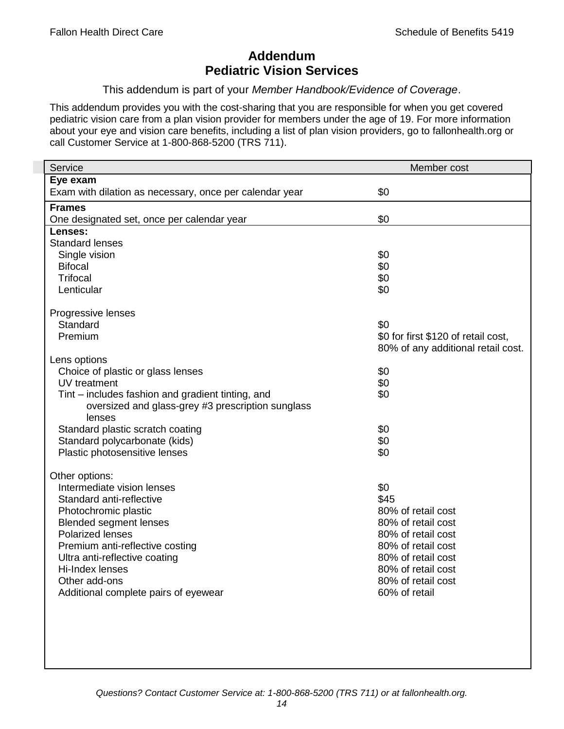# **Addendum Pediatric Vision Services**

This addendum is part of your *Member Handbook/Evidence of Coverage*.

This addendum provides you with the cost-sharing that you are responsible for when you get covered pediatric vision care from a plan vision provider for members under the age of 19. For more information about your eye and vision care benefits, including a list of plan vision providers, go to fallonhealth.org or call Customer Service at 1-800-868-5200 (TRS 711).

| Service                                                 | Member cost                         |
|---------------------------------------------------------|-------------------------------------|
| Eye exam                                                |                                     |
| Exam with dilation as necessary, once per calendar year | \$0                                 |
| <b>Frames</b>                                           |                                     |
| One designated set, once per calendar year              | \$0                                 |
| Lenses:                                                 |                                     |
| <b>Standard lenses</b>                                  |                                     |
| Single vision                                           | \$0                                 |
| <b>Bifocal</b>                                          | \$0                                 |
| <b>Trifocal</b>                                         | \$0<br>\$0                          |
| Lenticular                                              |                                     |
| Progressive lenses                                      |                                     |
| Standard                                                | \$0                                 |
| Premium                                                 | \$0 for first \$120 of retail cost, |
|                                                         | 80% of any additional retail cost.  |
| Lens options                                            |                                     |
| Choice of plastic or glass lenses                       | \$0                                 |
| UV treatment                                            | \$0                                 |
| Tint – includes fashion and gradient tinting, and       | \$0                                 |
| oversized and glass-grey #3 prescription sunglass       |                                     |
| lenses                                                  |                                     |
| Standard plastic scratch coating                        | \$0                                 |
| Standard polycarbonate (kids)                           | \$0                                 |
| Plastic photosensitive lenses                           | \$0                                 |
| Other options:                                          |                                     |
| Intermediate vision lenses                              | \$0                                 |
| Standard anti-reflective                                | \$45                                |
| Photochromic plastic                                    | 80% of retail cost                  |
| <b>Blended segment lenses</b>                           | 80% of retail cost                  |
| <b>Polarized lenses</b>                                 | 80% of retail cost                  |
| Premium anti-reflective costing                         | 80% of retail cost                  |
| Ultra anti-reflective coating                           | 80% of retail cost                  |
| Hi-Index lenses                                         | 80% of retail cost                  |
| Other add-ons                                           | 80% of retail cost                  |
| Additional complete pairs of eyewear                    | 60% of retail                       |
|                                                         |                                     |
|                                                         |                                     |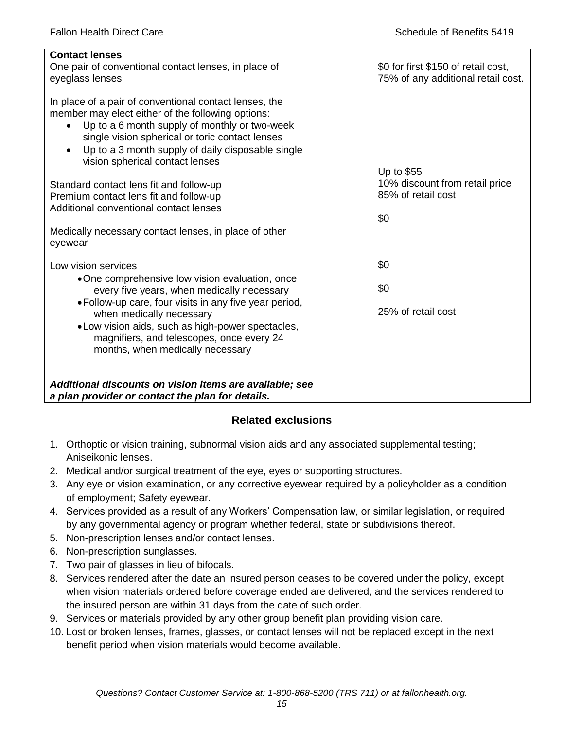| <b>Contact lenses</b><br>One pair of conventional contact lenses, in place of<br>eyeglass lenses                                                                                                                                                                                                                     | \$0 for first \$150 of retail cost,<br>75% of any additional retail cost. |
|----------------------------------------------------------------------------------------------------------------------------------------------------------------------------------------------------------------------------------------------------------------------------------------------------------------------|---------------------------------------------------------------------------|
| In place of a pair of conventional contact lenses, the<br>member may elect either of the following options:<br>Up to a 6 month supply of monthly or two-week<br>$\bullet$<br>single vision spherical or toric contact lenses<br>Up to a 3 month supply of daily disposable single<br>vision spherical contact lenses |                                                                           |
|                                                                                                                                                                                                                                                                                                                      | Up to \$55<br>10% discount from retail price                              |
| Standard contact lens fit and follow-up<br>Premium contact lens fit and follow-up                                                                                                                                                                                                                                    | 85% of retail cost                                                        |
| Additional conventional contact lenses                                                                                                                                                                                                                                                                               |                                                                           |
|                                                                                                                                                                                                                                                                                                                      | \$0                                                                       |
| Medically necessary contact lenses, in place of other<br>eyewear                                                                                                                                                                                                                                                     |                                                                           |
| Low vision services                                                                                                                                                                                                                                                                                                  | \$0                                                                       |
| •One comprehensive low vision evaluation, once<br>every five years, when medically necessary                                                                                                                                                                                                                         | \$0                                                                       |
| • Follow-up care, four visits in any five year period,<br>when medically necessary<br>.Low vision aids, such as high-power spectacles,<br>magnifiers, and telescopes, once every 24                                                                                                                                  | 25% of retail cost                                                        |
| months, when medically necessary                                                                                                                                                                                                                                                                                     |                                                                           |
|                                                                                                                                                                                                                                                                                                                      |                                                                           |
| Additional discounts on vision items are available; see<br>a plan provider or contact the plan for details.                                                                                                                                                                                                          |                                                                           |

# **Related exclusions**

- 1. Orthoptic or vision training, subnormal vision aids and any associated supplemental testing; Aniseikonic lenses.
- 2. Medical and/or surgical treatment of the eye, eyes or supporting structures.
- 3. Any eye or vision examination, or any corrective eyewear required by a policyholder as a condition of employment; Safety eyewear.
- 4. Services provided as a result of any Workers' Compensation law, or similar legislation, or required by any governmental agency or program whether federal, state or subdivisions thereof.
- 5. Non-prescription lenses and/or contact lenses.
- 6. Non-prescription sunglasses.
- 7. Two pair of glasses in lieu of bifocals.
- 8. Services rendered after the date an insured person ceases to be covered under the policy, except when vision materials ordered before coverage ended are delivered, and the services rendered to the insured person are within 31 days from the date of such order.
- 9. Services or materials provided by any other group benefit plan providing vision care.
- 10. Lost or broken lenses, frames, glasses, or contact lenses will not be replaced except in the next benefit period when vision materials would become available.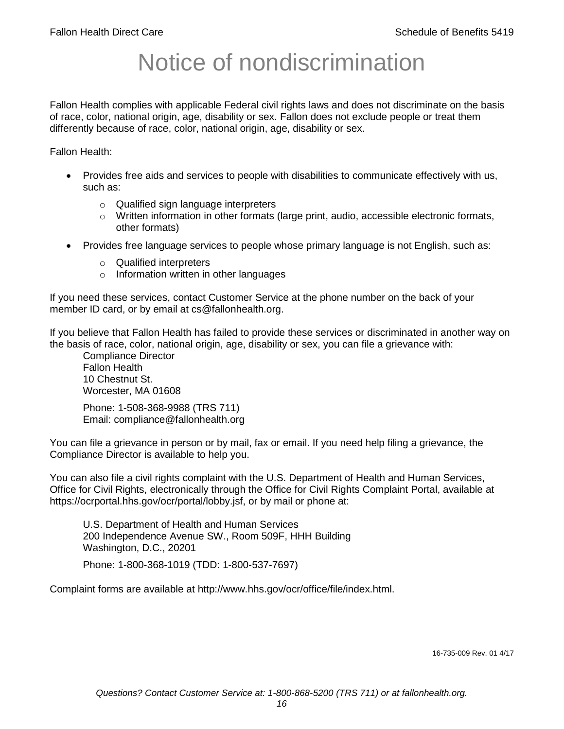# Notice of nondiscrimination

Fallon Health complies with applicable Federal civil rights laws and does not discriminate on the basis of race, color, national origin, age, disability or sex. Fallon does not exclude people or treat them differently because of race, color, national origin, age, disability or sex.

Fallon Health:

- Provides free aids and services to people with disabilities to communicate effectively with us, such as:
	- o Qualified sign language interpreters
	- $\circ$  Written information in other formats (large print, audio, accessible electronic formats, other formats)
- Provides free language services to people whose primary language is not English, such as:
	- o Qualified interpreters
	- o Information written in other languages

If you need these services, contact Customer Service at the phone number on the back of your member ID card, or by email at cs@fallonhealth.org.

If you believe that Fallon Health has failed to provide these services or discriminated in another way on the basis of race, color, national origin, age, disability or sex, you can file a grievance with:

Compliance Director Fallon Health 10 Chestnut St. Worcester, MA 01608

Phone: 1-508-368-9988 (TRS 711) Email: compliance@fallonhealth.org

You can file a grievance in person or by mail, fax or email. If you need help filing a grievance, the Compliance Director is available to help you.

You can also file a civil rights complaint with the U.S. Department of Health and Human Services, Office for Civil Rights, electronically through the Office for Civil Rights Complaint Portal, available at https://ocrportal.hhs.gov/ocr/portal/lobby.jsf, or by mail or phone at:

U.S. Department of Health and Human Services 200 Independence Avenue SW., Room 509F, HHH Building Washington, D.C., 20201 Phone: 1-800-368-1019 (TDD: 1-800-537-7697)

Complaint forms are available at http://www.hhs.gov/ocr/office/file/index.html.

16-735-009 Rev. 01 4/17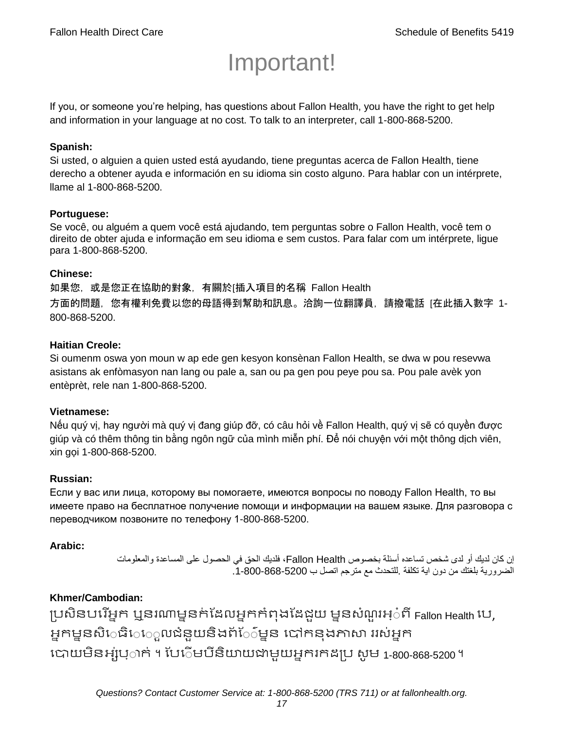# Important!

If you, or someone you're helping, has questions about Fallon Health, you have the right to get help and information in your language at no cost. To talk to an interpreter, call 1-800-868-5200.

## **Spanish:**

Si usted, o alguien a quien usted está ayudando, tiene preguntas acerca de Fallon Health, tiene derecho a obtener ayuda e información en su idioma sin costo alguno. Para hablar con un intérprete, llame al 1-800-868-5200.

#### **Portuguese:**

Se você, ou alguém a quem você está ajudando, tem perguntas sobre o Fallon Health, você tem o direito de obter ajuda e informação em seu idioma e sem custos. Para falar com um intérprete, ligue para 1-800-868-5200.

#### **Chinese:**

如果您,或是您正在協助的對象,有關於[插入項目的名稱 Fallon Health 方面的問題,您有權利免費以您的母語得到幫助和訊息。洽詢一位翻譯員,請撥電話 [在此插入數字 1- 800-868-5200.

#### **Haitian Creole:**

Si oumenm oswa yon moun w ap ede gen kesyon konsènan Fallon Health, se dwa w pou resevwa asistans ak enfòmasyon nan lang ou pale a, san ou pa gen pou peye pou sa. Pou pale avèk yon entèprèt, rele nan 1-800-868-5200.

#### **Vietnamese:**

Nếu quý vị, hay người mà quý vị đang giúp đỡ, có câu hỏi về Fallon Health, quý vị sẽ có quyền được giúp và có thêm thông tin bằng ngôn ngữ của mình miễn phí. Để nói chuyện với một thông dịch viên, xin gọi 1-800-868-5200.

#### **Russian:**

Если у вас или лица, которому вы помогаете, имеются вопросы по поводу Fallon Health, то вы имеете право на бесплатное получение помощи и информации на вашем языке. Для разговора с переводчиком позвоните по телефону 1-800-868-5200.

#### **Arabic:**

إن كان لديك أو لدى شخص تساعده أسئلة بخصوص Health Fallon، فلديك الحق في الحصول على المساعدة والمعلومات الضرورية بلغتك من دون اية تكلفة .للتحدث مع مترجم اتصل ب .1-800-868-5200

# **Khmer/Cambodian:**

ប្រសិនបរើអ្នក ឬនរណាមួនក់ដែលអ្នកកំពុងដែដួយ មួនសំណួរអ្៎ពី Fallon Health បេ, អ្នកម្ននសិេធិេេួលជំនួយនិងព័ែ៌ម្នន បៅកនុងភាសា ររស់អ្នក រោយម្ិនអ្ស់រ្ំ ក់ ។ ដររំ ម្រីនិយាយជាម្ួយអ្នក កែប្រ សូ ម្ 1-800-868-5200 ។